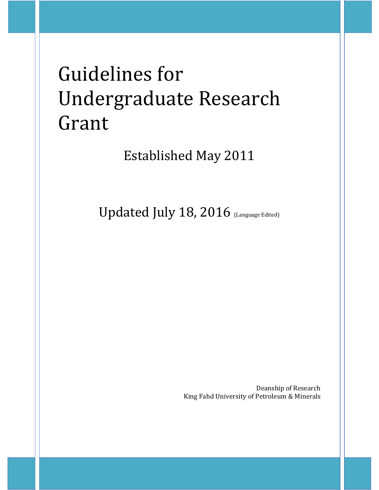# Guidelines for Undergraduate Research Grant

Established May 2011

Updated July 18, 2016 (Language Edited)

Deanship of Research King Fahd University of Petroleum & Minerals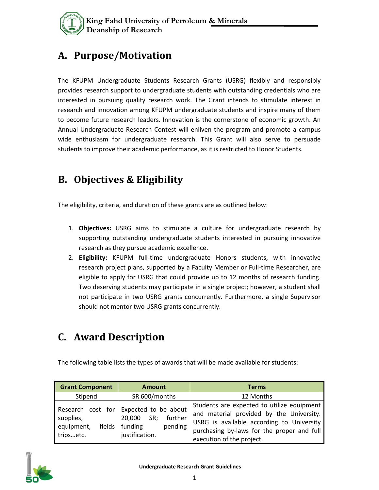

## **A. Purpose/Motivation**

The KFUPM Undergraduate Students Research Grants (USRG) flexibly and responsibly provides research support to undergraduate students with outstanding credentials who are interested in pursuing quality research work. The Grant intends to stimulate interest in research and innovation among KFUPM undergraduate students and inspire many of them to become future research leaders. Innovation is the cornerstone of economic growth. An Annual Undergraduate Research Contest will enliven the program and promote a campus wide enthusiasm for undergraduate research. This Grant will also serve to persuade students to improve their academic performance, as it is restricted to Honor Students.

#### **B. Objectives & Eligibility**

The eligibility, criteria, and duration of these grants are as outlined below:

- 1. **Objectives:** USRG aims to stimulate a culture for undergraduate research by supporting outstanding undergraduate students interested in pursuing innovative research as they pursue academic excellence.
- 2. **Eligibility:** KFUPM full-time undergraduate Honors students, with innovative research project plans, supported by a Faculty Member or Full-time Researcher, are eligible to apply for USRG that could provide up to 12 months of research funding. Two deserving students may participate in a single project; however, a student shall not participate in two USRG grants concurrently. Furthermore, a single Supervisor should not mentor two USRG grants concurrently.

# **C. Award Description**

The following table lists the types of awards that will be made available for students:

| <b>Grant Component</b>                           | <b>Amount</b>                                                                                           | <b>Terms</b>                                                                                                                                                                                                   |  |
|--------------------------------------------------|---------------------------------------------------------------------------------------------------------|----------------------------------------------------------------------------------------------------------------------------------------------------------------------------------------------------------------|--|
| Stipend                                          | SR 600/months                                                                                           | 12 Months                                                                                                                                                                                                      |  |
| supplies,<br>equipment,<br>fields  <br>tripsetc. | Research cost for Expected to be about<br>SR; further<br>20,000<br>funding<br>pending<br>justification. | Students are expected to utilize equipment<br>and material provided by the University.<br>USRG is available according to University<br>purchasing by-laws for the proper and full<br>execution of the project. |  |

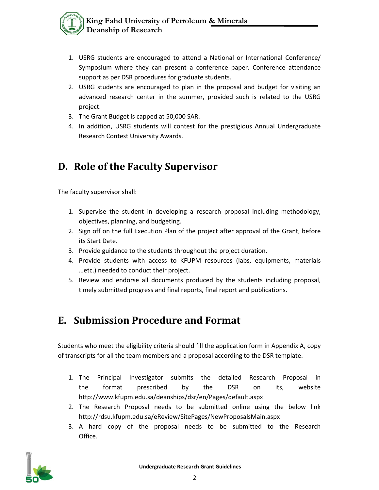- 1. USRG students are encouraged to attend a National or International Conference/ Symposium where they can present a conference paper. Conference attendance support as per DSR procedures for graduate students.
- 2. USRG students are encouraged to plan in the proposal and budget for visiting an advanced research center in the summer, provided such is related to the USRG project.
- 3. The Grant Budget is capped at 50,000 SAR.
- 4. In addition, USRG students will contest for the prestigious Annual Undergraduate Research Contest University Awards.

#### **D. Role of the Faculty Supervisor**

The faculty supervisor shall:

- 1. Supervise the student in developing a research proposal including methodology, objectives, planning, and budgeting.
- 2. Sign off on the full Execution Plan of the project after approval of the Grant, before its Start Date.
- 3. Provide guidance to the students throughout the project duration.
- 4. Provide students with access to KFUPM resources (labs, equipments, materials …etc.) needed to conduct their project.
- 5. Review and endorse all documents produced by the students including proposal, timely submitted progress and final reports, final report and publications.

## **E. Submission Procedure and Format**

Students who meet the eligibility criteria should fill the application form in Appendix A, copy of transcripts for all the team members and a proposal according to the DSR template.

- 1. The Principal Investigator submits the detailed Research Proposal in the format prescribed by the DSR on its, website http://www.kfupm.edu.sa/deanships/dsr/en/Pages/default.aspx
- 2. The Research Proposal needs to be submitted online using the below link http://rdsu.kfupm.edu.sa/eReview/SitePages/NewProposalsMain.aspx
- 3. A hard copy of the proposal needs to be submitted to the Research Office.

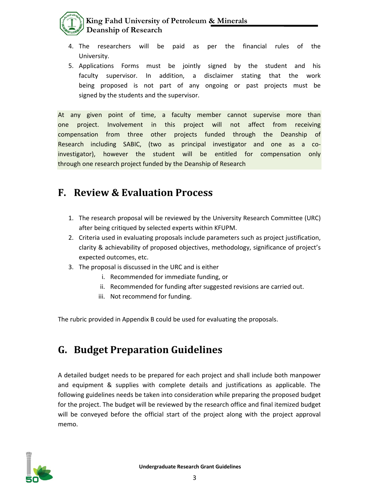#### **King Fahd University of Petroleum & Minerals Deanship of Research**

- 4. The researchers will be paid as per the financial rules of the University.
- 5. Applications Forms must be jointly signed by the student and his faculty supervisor. In addition, a disclaimer stating that the work being proposed is not part of any ongoing or past projects must be signed by the students and the supervisor.

At any given point of time, a faculty member cannot supervise more than one project. Involvement in this project will not affect from receiving compensation from three other projects funded through the Deanship of Research including SABIC, (two as principal investigator and one as a coinvestigator), however the student will be entitled for compensation only through one research project funded by the Deanship of Research

#### **F. Review & Evaluation Process**

- 1. The research proposal will be reviewed by the University Research Committee (URC) after being critiqued by selected experts within KFUPM.
- 2. Criteria used in evaluating proposals include parameters such as project justification, clarity & achievability of proposed objectives, methodology, significance of project's expected outcomes, etc.
- 3. The proposal is discussed in the URC and is either
	- i. Recommended for immediate funding, or
	- ii. Recommended for funding after suggested revisions are carried out.
	- iii. Not recommend for funding.

The rubric provided in Appendix B could be used for evaluating the proposals.

#### **G. Budget Preparation Guidelines**

A detailed budget needs to be prepared for each project and shall include both manpower and equipment & supplies with complete details and justifications as applicable. The following guidelines needs be taken into consideration while preparing the proposed budget for the project. The budget will be reviewed by the research office and final itemized budget will be conveyed before the official start of the project along with the project approval memo.

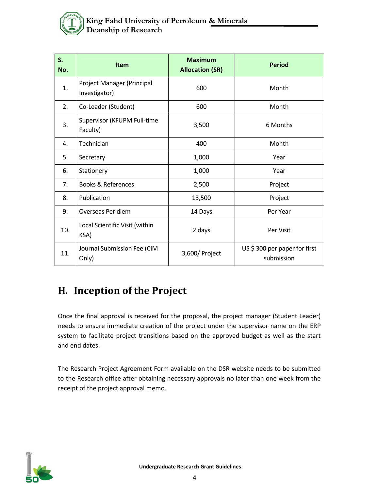

| S.<br>No. | <b>Item</b>                                 | <b>Maximum</b><br><b>Allocation (SR)</b> | <b>Period</b>                              |
|-----------|---------------------------------------------|------------------------------------------|--------------------------------------------|
| 1.        | Project Manager (Principal<br>Investigator) | 600                                      | Month                                      |
| 2.        | Co-Leader (Student)                         | 600                                      | Month                                      |
| 3.        | Supervisor (KFUPM Full-time<br>Faculty)     | 3,500                                    | 6 Months                                   |
| 4.        | Technician                                  | 400                                      | Month                                      |
| 5.        | Secretary                                   | 1,000                                    | Year                                       |
| 6.        | Stationery                                  | 1,000                                    | Year                                       |
| 7.        | <b>Books &amp; References</b>               | 2,500                                    | Project                                    |
| 8.        | Publication                                 | 13,500                                   | Project                                    |
| 9.        | Overseas Per diem                           | 14 Days                                  | Per Year                                   |
| 10.       | Local Scientific Visit (within<br>KSA)      | 2 days                                   | Per Visit                                  |
| 11.       | Journal Submission Fee (CIM<br>Only)        | 3,600/ Project                           | US \$300 per paper for first<br>submission |

## **H. Inception of the Project**

Once the final approval is received for the proposal, the project manager (Student Leader) needs to ensure immediate creation of the project under the supervisor name on the ERP system to facilitate project transitions based on the approved budget as well as the start and end dates.

The Research Project Agreement Form available on the DSR website needs to be submitted to the Research office after obtaining necessary approvals no later than one week from the receipt of the project approval memo.

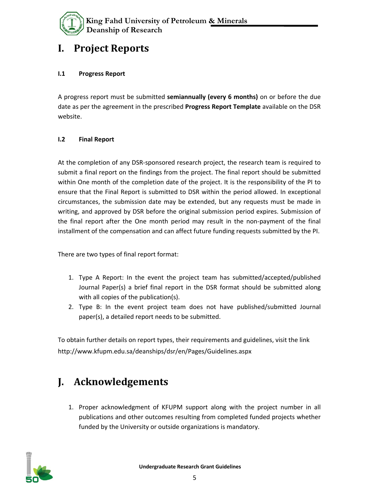

#### **I. Project Reports**

#### **I.1 Progress Report**

A progress report must be submitted **semiannually (every 6 months)** on or before the due date as per the agreement in the prescribed **Progress Report Template** available on the DSR website.

#### **I.2 Final Report**

At the completion of any DSR-sponsored research project, the research team is required to submit a final report on the findings from the project. The final report should be submitted within One month of the completion date of the project. It is the responsibility of the PI to ensure that the Final Report is submitted to DSR within the period allowed. In exceptional circumstances, the submission date may be extended, but any requests must be made in writing, and approved by DSR before the original submission period expires. Submission of the final report after the One month period may result in the non-payment of the final installment of the compensation and can affect future funding requests submitted by the PI.

There are two types of final report format:

- 1. Type A Report: In the event the project team has submitted/accepted/published Journal Paper(s) a brief final report in the DSR format should be submitted along with all copies of the publication(s).
- 2. Type B: In the event project team does not have published/submitted Journal paper(s), a detailed report needs to be submitted.

To obtain further details on report types, their requirements and guidelines, visit the link http://www.kfupm.edu.sa/deanships/dsr/en/Pages/Guidelines.aspx

#### **J. Acknowledgements**

1. Proper acknowledgment of KFUPM support along with the project number in all publications and other outcomes resulting from completed funded projects whether funded by the University or outside organizations is mandatory.